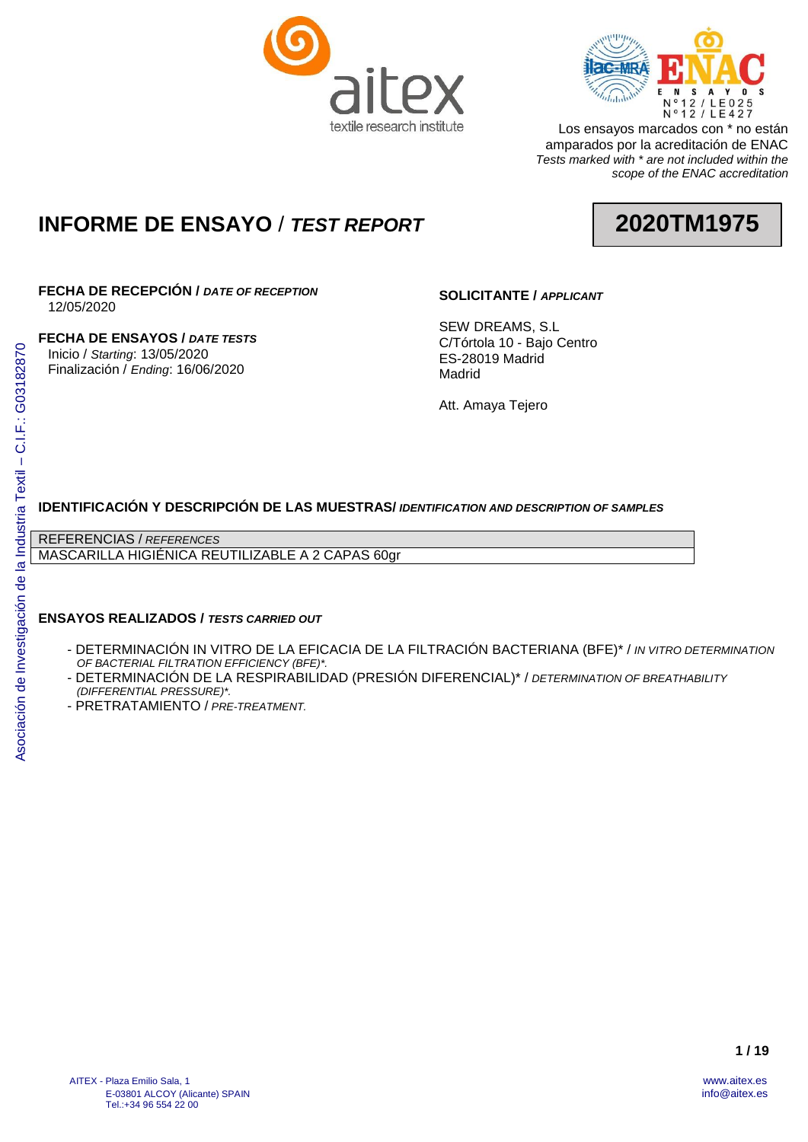



Los ensayos marcados con \* no están amparados por la acreditación de ENAC *Tests marked with \* are not included within the scope of the ENAC accreditation*

# **INFORME DE ENSAYO** / *TEST REPORT*



# **FECHA DE RECEPCIÓN /** *DATE OF RECEPTION*

12/05/2020

**FECHA DE ENSAYOS /** *DATE TESTS* Inicio / *Starting*: 13/05/2020 Finalización / *Ending*: 16/06/2020

## **SOLICITANTE /** *APPLICANT*

SEW DREAMS, S.L C/Tórtola 10 - Bajo Centro ES-28019 Madrid Madrid

Att. Amaya Tejero

# **IDENTIFICACIÓN Y DESCRIPCIÓN DE LAS MUESTRAS/** *IDENTIFICATION AND DESCRIPTION OF SAMPLES*

REFERENCIAS / *REFERENCES*

MASCARILLA HIGIÉNICA REUTILIZABLE A 2 CAPAS 60gr

## **ENSAYOS REALIZADOS /** *TESTS CARRIED OUT*

- DETERMINACIÓN IN VITRO DE LA EFICACIA DE LA FILTRACIÓN BACTERIANA (BFE)\* / *IN VITRO DETERMINATION OF BACTERIAL FILTRATION EFFICIENCY (BFE)\*.*
- DETERMINACIÓN DE LA RESPIRABILIDAD (PRESIÓN DIFERENCIAL)\* / *DETERMINATION OF BREATHABILITY (DIFFERENTIAL PRESSURE)\*.*
- PRETRATAMIENTO / *PRE-TREATMENT.*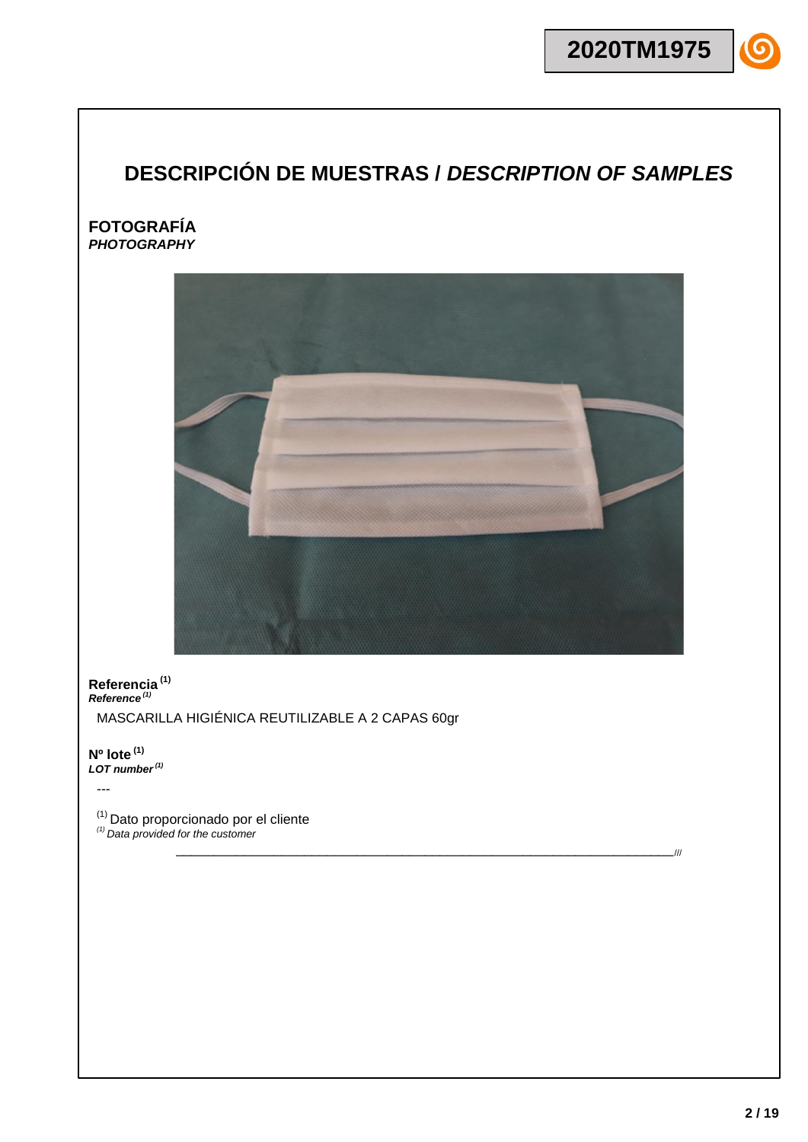# **DESCRIPCIÓN DE MUESTRAS /** *DESCRIPTION OF SAMPLES*

## **FOTOGRAFÍA** *PHOTOGRAPHY*



\_\_\_\_\_\_\_\_\_\_\_\_\_\_\_\_\_\_\_\_\_\_\_\_\_\_\_\_\_\_\_\_\_\_\_\_\_\_\_\_\_\_\_\_\_\_\_\_\_\_\_\_\_\_\_\_\_\_\_\_\_\_\_\_\_\_///

**Referencia (1)** *Reference (1)*

MASCARILLA HIGIÉNICA REUTILIZABLE A 2 CAPAS 60gr

**Nº lote (1)** *LOT number(1)*

---

(1) Dato proporcionado por el cliente *(1) Data provided for the customer*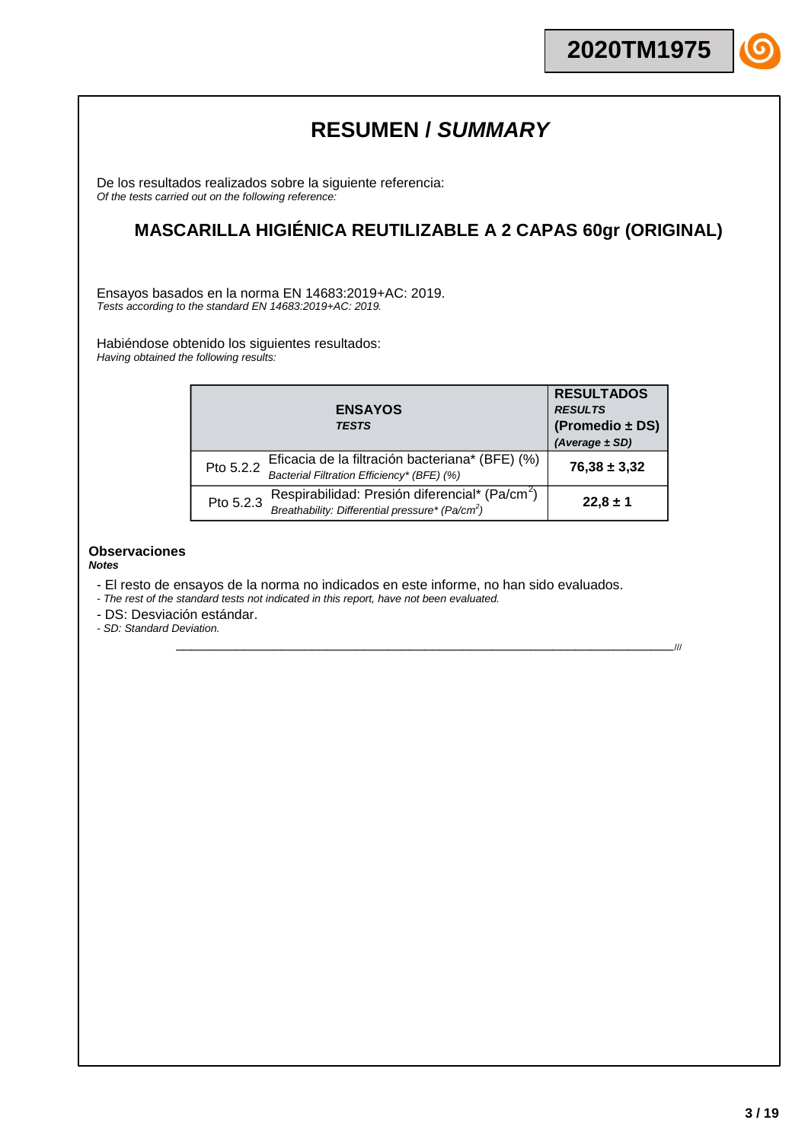# **RESUMEN /** *SUMMARY*

De los resultados realizados sobre la siguiente referencia: *Of the tests carried out on the following reference:*

# **MASCARILLA HIGIÉNICA REUTILIZABLE A 2 CAPAS 60gr (ORIGINAL)**

Ensayos basados en la norma EN 14683:2019+AC: 2019. *Tests according to the standard EN 14683:2019+AC: 2019.*

Habiéndose obtenido los siguientes resultados: *Having obtained the following results:*

|           | <b>ENSAYOS</b><br><b>TESTS</b>                                                                                            | <b>RESULTADOS</b><br><b>RESULTS</b><br>(Promedio ± DS)<br>$(Average \pm SD)$ |
|-----------|---------------------------------------------------------------------------------------------------------------------------|------------------------------------------------------------------------------|
| Pto 5.2.2 | Eficacia de la filtración bacteriana* (BFE) (%)<br>Bacterial Filtration Efficiency* (BFE) (%)                             | $76,38 \pm 3,32$                                                             |
| Pto 5.2.3 | Respirabilidad: Presión diferencial* (Pa/cm <sup>2</sup> )<br>Breathability: Differential pressure* (Pa/cm <sup>2</sup> ) | $22,8 \pm 1$                                                                 |

\_\_\_\_\_\_\_\_\_\_\_\_\_\_\_\_\_\_\_\_\_\_\_\_\_\_\_\_\_\_\_\_\_\_\_\_\_\_\_\_\_\_\_\_\_\_\_\_\_\_\_\_\_\_\_\_\_\_\_\_\_\_\_\_\_\_///

### **Observaciones**

*Notes*

- El resto de ensayos de la norma no indicados en este informe, no han sido evaluados.
- *- The rest of the standard tests not indicated in this report, have not been evaluated.*
- DS: Desviación estándar.

*- SD: Standard Deviation.*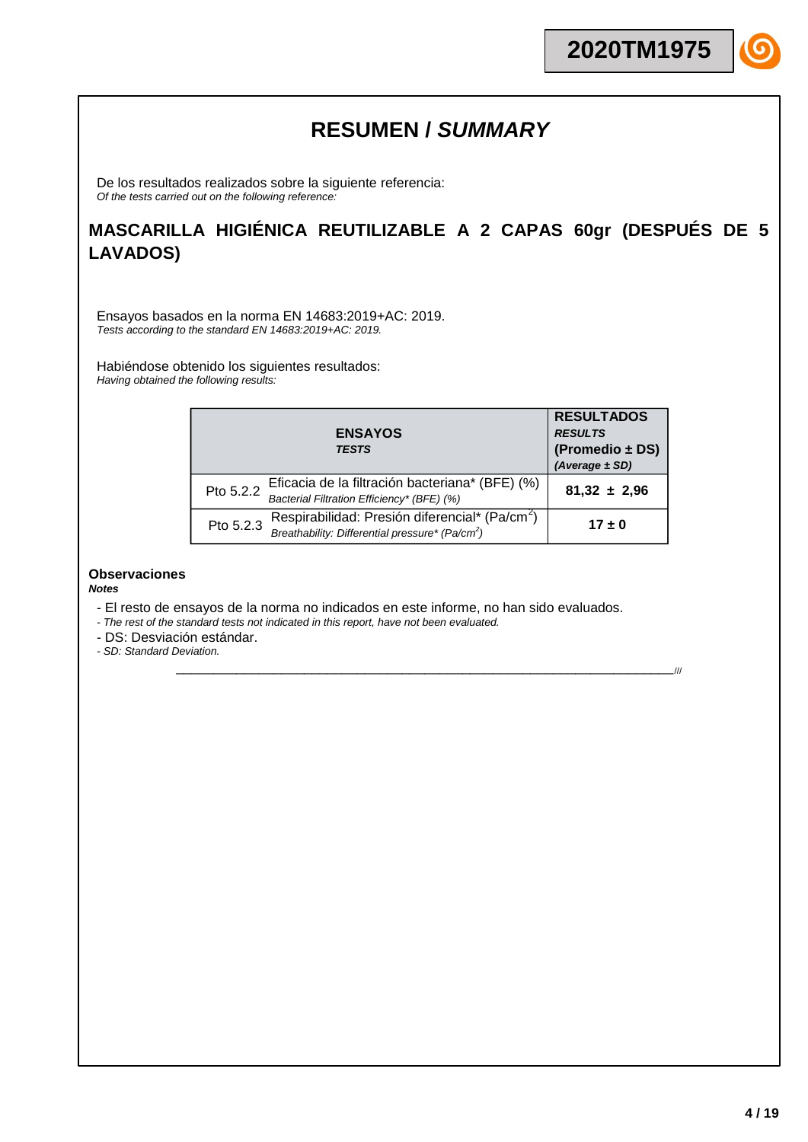# **RESUMEN /** *SUMMARY*

De los resultados realizados sobre la siguiente referencia: *Of the tests carried out on the following reference:*

# **MASCARILLA HIGIÉNICA REUTILIZABLE A 2 CAPAS 60gr (DESPUÉS DE 5 LAVADOS)**

Ensayos basados en la norma EN 14683:2019+AC: 2019. *Tests according to the standard EN 14683:2019+AC: 2019.*

Habiéndose obtenido los siguientes resultados: *Having obtained the following results:*

|           | <b>ENSAYOS</b><br><b>TESTS</b>                                                                                            | <b>RESULTADOS</b><br><b>RESULTS</b><br>(Promedio ± DS)<br>$(Average \pm SD)$ |
|-----------|---------------------------------------------------------------------------------------------------------------------------|------------------------------------------------------------------------------|
| Pto 5.2.2 | Eficacia de la filtración bacteriana* (BFE) (%)<br>Bacterial Filtration Efficiency* (BFE) (%)                             | $81,32 \pm 2,96$                                                             |
| Pto 5.2.3 | Respirabilidad: Presión diferencial* (Pa/cm <sup>2</sup> )<br>Breathability: Differential pressure* (Pa/cm <sup>2</sup> ) | $17 \pm 0$                                                                   |

\_\_\_\_\_\_\_\_\_\_\_\_\_\_\_\_\_\_\_\_\_\_\_\_\_\_\_\_\_\_\_\_\_\_\_\_\_\_\_\_\_\_\_\_\_\_\_\_\_\_\_\_\_\_\_\_\_\_\_\_\_\_\_\_\_\_///

### **Observaciones** *Notes*

- El resto de ensayos de la norma no indicados en este informe, no han sido evaluados.
- *- The rest of the standard tests not indicated in this report, have not been evaluated.*
- DS: Desviación estándar.

*- SD: Standard Deviation.*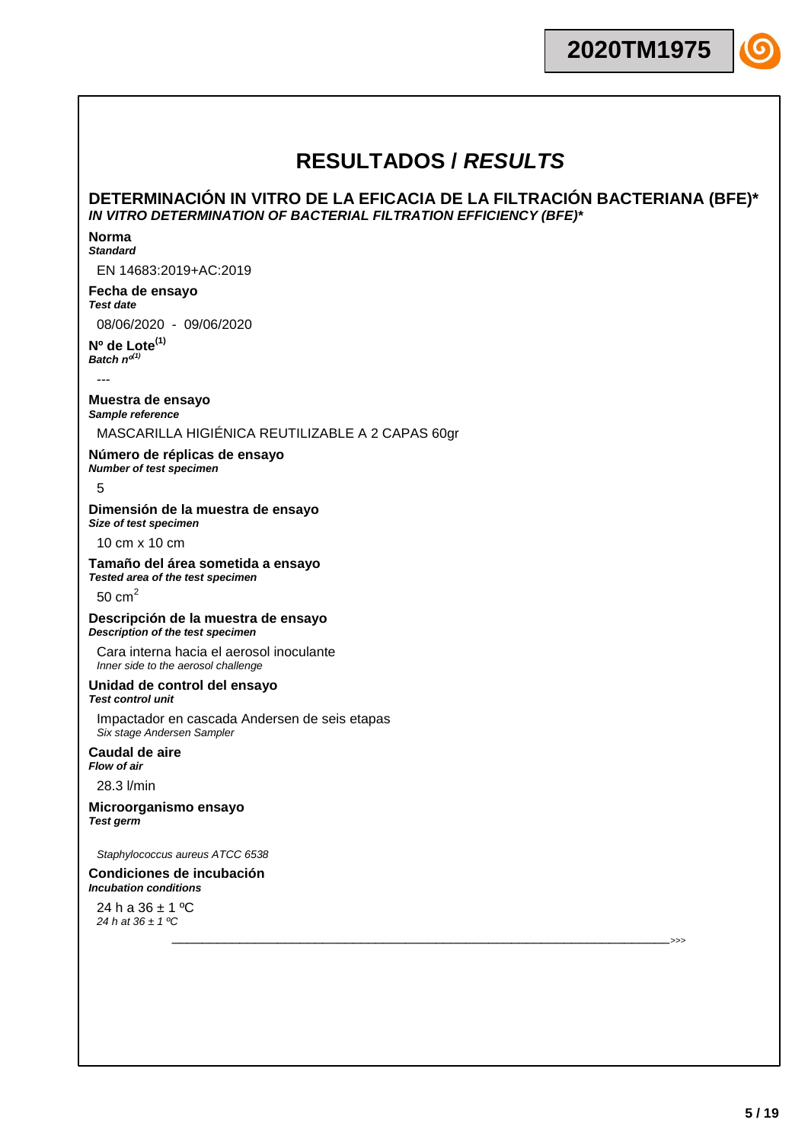## **DETERMINACIÓN IN VITRO DE LA EFICACIA DE LA FILTRACIÓN BACTERIANA (BFE)\*** *IN VITRO DETERMINATION OF BACTERIAL FILTRATION EFFICIENCY (BFE)\**

\_\_\_\_\_\_\_\_\_\_\_\_\_\_\_\_\_\_\_\_\_\_\_\_\_\_\_\_\_\_\_\_\_\_\_\_\_\_\_\_\_\_\_\_\_\_\_\_\_\_\_\_\_\_\_\_\_\_\_\_\_\_\_\_\_\_>>>

#### **Norma** *Standard*

EN 14683:2019+AC:2019

# **Fecha de ensayo**

*Test date*

08/06/2020 - 09/06/2020

**Nº de Lote(1)** *Batch nº(1)*

---

### **Muestra de ensayo** *Sample reference*

## MASCARILLA HIGIÉNICA REUTILIZABLE A 2 CAPAS 60gr

**Número de réplicas de ensayo** *Number of test specimen*

5

## **Dimensión de la muestra de ensayo**

*Size of test specimen*

10 cm x 10 cm

### **Tamaño del área sometida a ensayo**

*Tested area of the test specimen*

50  $cm<sup>2</sup>$ 

### **Descripción de la muestra de ensayo** *Description of the test specimen*

Cara interna hacia el aerosol inoculante *Inner side to the aerosol challenge*

### **Unidad de control del ensayo** *Test control unit*

Impactador en cascada Andersen de seis etapas *Six stage Andersen Sampler*

### **Caudal de aire** *Flow of air*

28.3 l/min

### **Microorganismo ensayo** *Test germ*

*Staphylococcus aureus ATCC 6538*

### **Condiciones de incubación** *Incubation conditions*

24 h a  $36 \pm 1$  °C *24 h at 36 ± 1 ºC*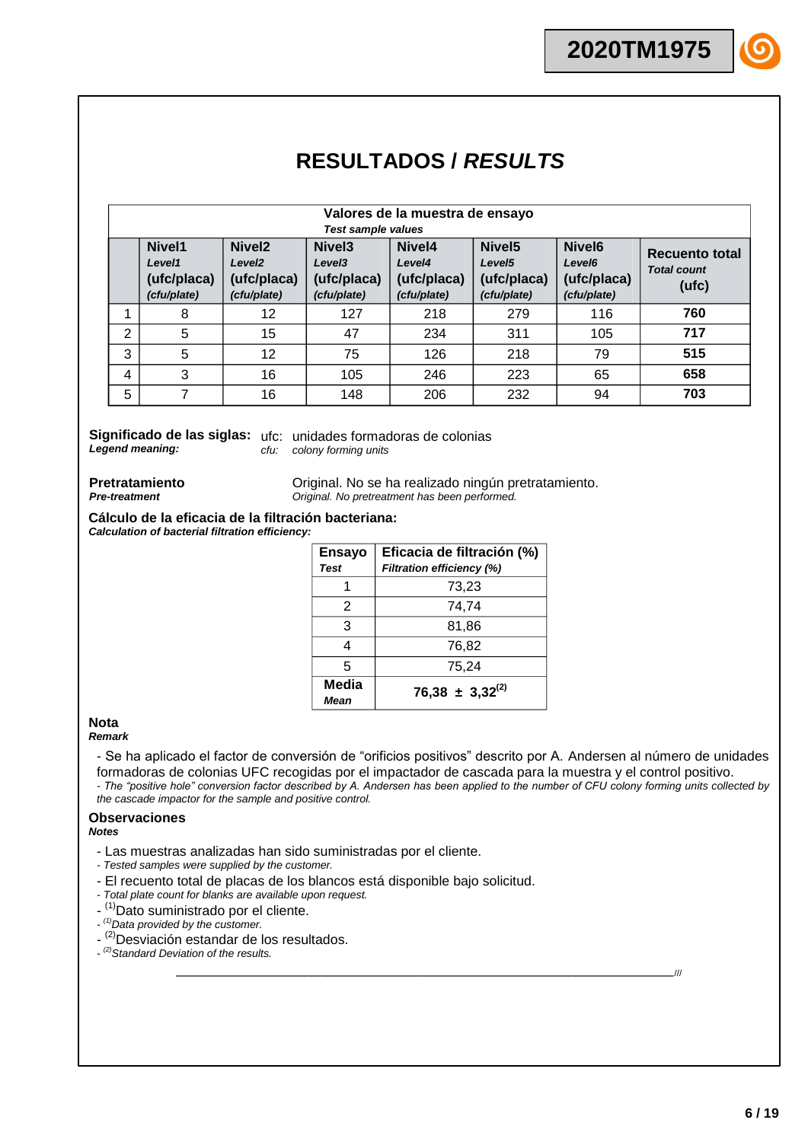|   | Valores de la muestra de ensayo                |                                                                        |                                                                        |                                                |                                                                        |                                                                        |                                                      |
|---|------------------------------------------------|------------------------------------------------------------------------|------------------------------------------------------------------------|------------------------------------------------|------------------------------------------------------------------------|------------------------------------------------------------------------|------------------------------------------------------|
|   |                                                |                                                                        | <b>Test sample values</b>                                              |                                                |                                                                        |                                                                        |                                                      |
|   | Nivel1<br>Level1<br>(ufc/placa)<br>(cfu/plate) | Nivel <sub>2</sub><br>Level <sub>2</sub><br>(ufc/placa)<br>(cfu/plate) | Nivel <sub>3</sub><br>Level <sub>3</sub><br>(ufc/placa)<br>(cfu/plate) | Nivel4<br>Level4<br>(ufc/placa)<br>(cfu/plate) | Nivel <sub>5</sub><br>Level <sub>5</sub><br>(ufc/placa)<br>(cfu/plate) | Nivel <sub>6</sub><br>Level <sub>6</sub><br>(ufc/placa)<br>(cfu/plate) | <b>Recuento total</b><br><b>Total count</b><br>(ufc) |
|   | 8                                              | 12                                                                     | 127                                                                    | 218                                            | 279                                                                    | 116                                                                    | 760                                                  |
| 2 | 5                                              | 15                                                                     | 47                                                                     | 234                                            | 311                                                                    | 105                                                                    | 717                                                  |
| 3 | 5                                              | 12                                                                     | 75                                                                     | 126                                            | 218                                                                    | 79                                                                     | 515                                                  |
| 4 | 3                                              | 16                                                                     | 105                                                                    | 246                                            | 223                                                                    | 65                                                                     | 658                                                  |
| 5 | 7                                              | 16                                                                     | 148                                                                    | 206                                            | 232                                                                    | 94                                                                     | 703                                                  |

*Legend meaning:*

Significado de las siglas: ufc: unidades formadoras de colonias *cfu: colony forming units*

**Pretratamiento** *Pre-treatment*

Original. No se ha realizado ningún pretratamiento. *Original. No pretreatment has been performed.*

**Cálculo de la eficacia de la filtración bacteriana:** *Calculation of bacterial filtration efficiency:*

| <b>Ensayo</b><br><b>Test</b> | Eficacia de filtración (%)<br>Filtration efficiency (%) |  |  |  |
|------------------------------|---------------------------------------------------------|--|--|--|
|                              | 73,23                                                   |  |  |  |
| 2                            | 74.74                                                   |  |  |  |
| 3                            | 81,86                                                   |  |  |  |
| 4                            | 76,82                                                   |  |  |  |
| 5                            | 75,24                                                   |  |  |  |
| Media<br><b>Mean</b>         | $76,38 \pm 3,32^{(2)}$                                  |  |  |  |

#### **Nota** *Remark*

- Se ha aplicado el factor de conversión de "orificios positivos" descrito por A. Andersen al número de unidades formadoras de colonias UFC recogidas por el impactador de cascada para la muestra y el control positivo. *- The "positive hole" conversion factor described by A. Andersen has been applied to the number of CFU colony forming units collected by the cascade impactor for the sample and positive control.*

\_\_\_\_\_\_\_\_\_\_\_\_\_\_\_\_\_\_\_\_\_\_\_\_\_\_\_\_\_\_\_\_\_\_\_\_\_\_\_\_\_\_\_\_\_\_\_\_\_\_\_\_\_\_\_\_\_\_\_\_\_\_\_\_\_\_///

# **Observaciones**

*Notes*

- Las muestras analizadas han sido suministradas por el cliente.
- *- Tested samples were supplied by the customer.*
- El recuento total de placas de los blancos está disponible bajo solicitud.
- *- Total plate count for blanks are available upon request.*
- <sup>(1)</sup>Dato suministrado por el cliente.
- *- (1)Data provided by the customer.*
- <sup>(2)</sup>Desviación estandar de los resultados.
- *- (2)Standard Deviation of the results.*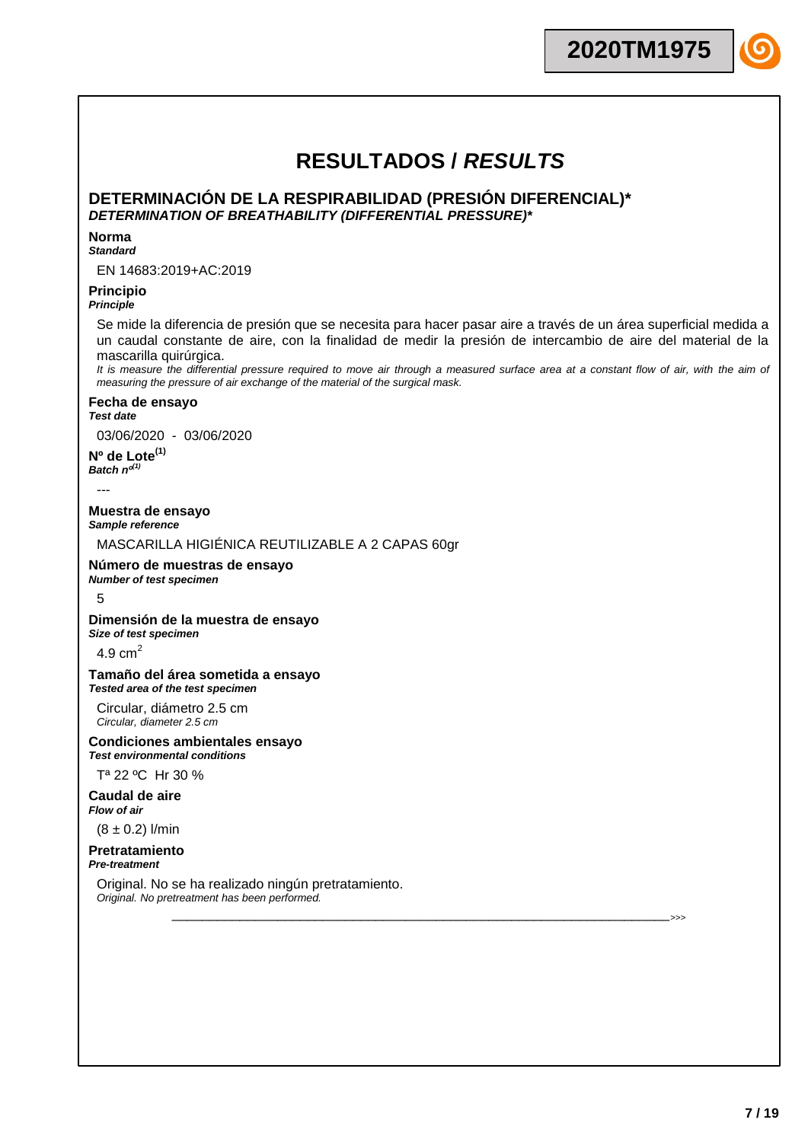**2020TM1975**

# **RESULTADOS /** *RESULTS*

### **DETERMINACIÓN DE LA RESPIRABILIDAD (PRESIÓN DIFERENCIAL)\*** *DETERMINATION OF BREATHABILITY (DIFFERENTIAL PRESSURE)\**

### **Norma**

### *Standard*

EN 14683:2019+AC:2019

## **Principio**

## *Principle*

Se mide la diferencia de presión que se necesita para hacer pasar aire a través de un área superficial medida a un caudal constante de aire, con la finalidad de medir la presión de intercambio de aire del material de la mascarilla quirúrgica.

It is measure the differential pressure required to move air through a measured surface area at a constant flow of air, with the aim of *measuring the pressure of air exchange of the material of the surgical mask.*

\_\_\_\_\_\_\_\_\_\_\_\_\_\_\_\_\_\_\_\_\_\_\_\_\_\_\_\_\_\_\_\_\_\_\_\_\_\_\_\_\_\_\_\_\_\_\_\_\_\_\_\_\_\_\_\_\_\_\_\_\_\_\_\_\_\_>>>

### **Fecha de ensayo**

*Test date*

03/06/2020 - 03/06/2020

**Nº de Lote(1)**  $Batch$   $n^{d^{(1)}}$ 

---

**Muestra de ensayo** *Sample reference*

MASCARILLA HIGIÉNICA REUTILIZABLE A 2 CAPAS 60gr

### **Número de muestras de ensayo** *Number of test specimen*

### 5

**Dimensión de la muestra de ensayo** *Size of test specimen*

4.9  $cm<sup>2</sup>$ 

### **Tamaño del área sometida a ensayo** *Tested area of the test specimen*

Circular, diámetro 2.5 cm *Circular, diameter 2.5 cm*

### **Condiciones ambientales ensayo** *Test environmental conditions*

Tª 22 ºC Hr 30 %

**Caudal de aire** *Flow of air*

 $(8 \pm 0.2)$  l/min

#### **Pretratamiento** *Pre-treatment*

Original. No se ha realizado ningún pretratamiento. *Original. No pretreatment has been performed.*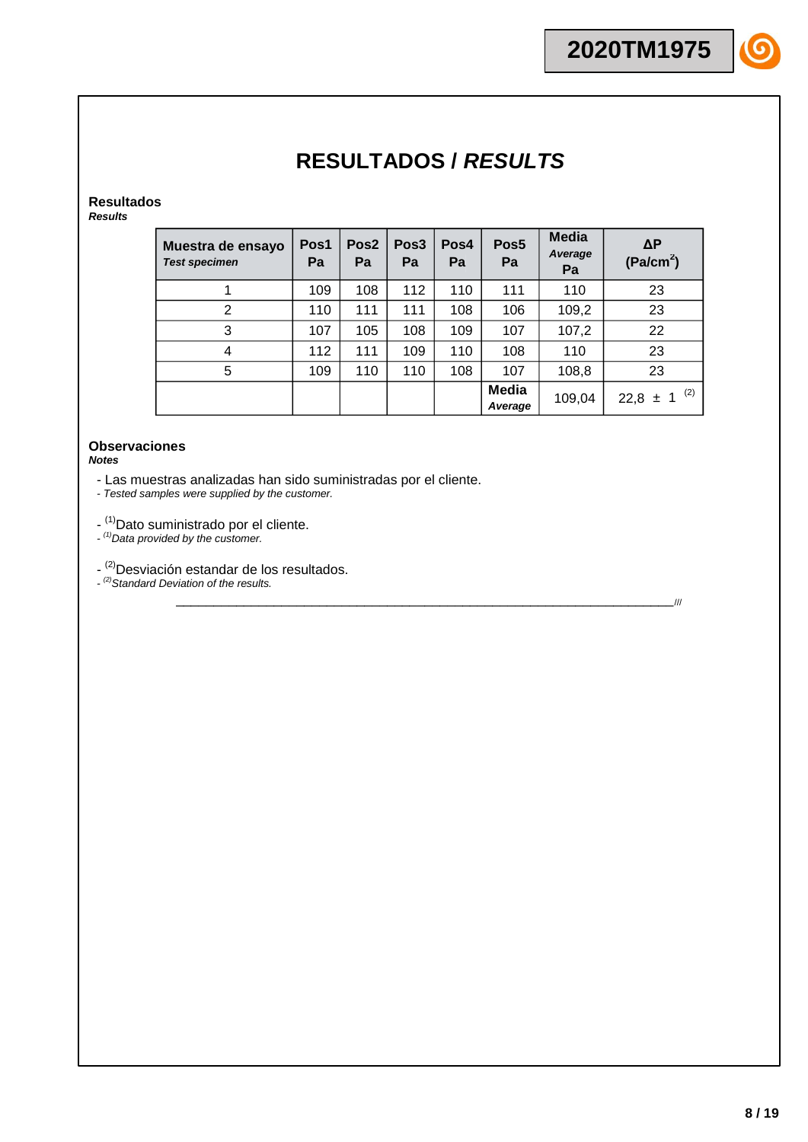# **Resultados**

*Results*

| Muestra de ensayo<br><b>Test specimen</b> | Pos1<br>Pa | Pos <sub>2</sub><br>Pa | Pos <sub>3</sub><br>Pa | Pos4<br>Pa | Pos <sub>5</sub><br>Pa | <b>Media</b><br>Average<br>Pa | $\Delta P$<br>(Pa/cm <sup>2</sup> ) |
|-------------------------------------------|------------|------------------------|------------------------|------------|------------------------|-------------------------------|-------------------------------------|
|                                           | 109        | 108                    | 112                    | 110        | 111                    | 110                           | 23                                  |
| 2                                         | 110        | 111                    | 111                    | 108        | 106                    | 109,2                         | 23                                  |
| 3                                         | 107        | 105                    | 108                    | 109        | 107                    | 107,2                         | 22                                  |
| 4                                         | 112        | 111                    | 109                    | 110        | 108                    | 110                           | 23                                  |
| 5                                         | 109        | 110                    | 110                    | 108        | 107                    | 108,8                         | 23                                  |
|                                           |            |                        |                        |            | Media<br>Average       | 109,04                        | (2)<br>$22,8 \pm 1$                 |

\_\_\_\_\_\_\_\_\_\_\_\_\_\_\_\_\_\_\_\_\_\_\_\_\_\_\_\_\_\_\_\_\_\_\_\_\_\_\_\_\_\_\_\_\_\_\_\_\_\_\_\_\_\_\_\_\_\_\_\_\_\_\_\_\_\_///

### **Observaciones** *Notes*

- Las muestras analizadas han sido suministradas por el cliente.

*- Tested samples were supplied by the customer.*

- <sup>(1)</sup>Dato suministrado por el cliente.

*- (1)Data provided by the customer.*

- <sup>(2)</sup>Desviación estandar de los resultados.

*- (2)Standard Deviation of the results.*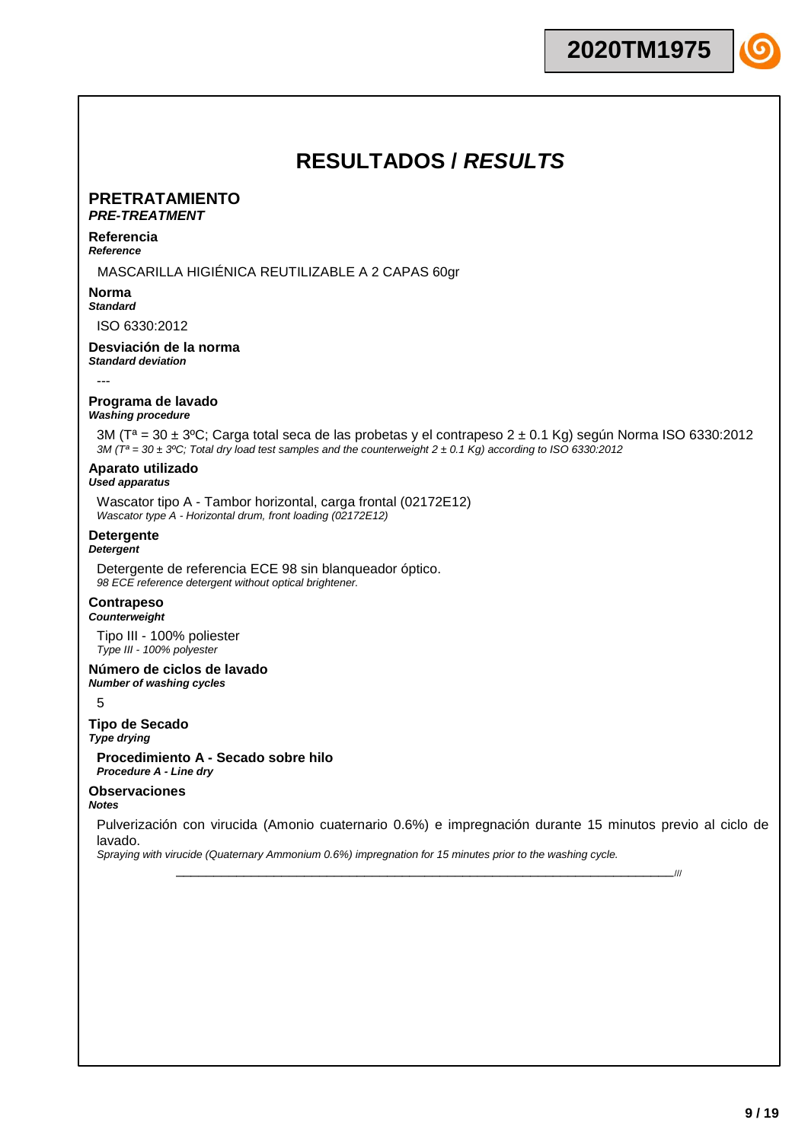# **PRETRATAMIENTO**

# *PRE-TREATMENT*

#### **Referencia** *Reference*

### MASCARILLA HIGIÉNICA REUTILIZABLE A 2 CAPAS 60gr

#### **Norma** *Standard*

ISO 6330:2012

## **Desviación de la norma**

*Standard deviation*

---

## **Programa de lavado**

*Washing procedure*

3M (Tª = 30 ± 3ºC; Carga total seca de las probetas y el contrapeso 2 ± 0.1 Kg) según Norma ISO 6330:2012 *3M (Tª = 30 ± 3ºC; Total dry load test samples and the counterweight 2 ± 0.1 Kg) according to ISO 6330:2012*

# **Aparato utilizado**

## *Used apparatus*

Wascator tipo A - Tambor horizontal, carga frontal (02172E12) *Wascator type A - Horizontal drum, front loading (02172E12)*

## **Detergente**

*Detergent*

Detergente de referencia ECE 98 sin blanqueador óptico. *98 ECE reference detergent without optical brightener.*

# **Contrapeso**

*Counterweight*

Tipo III - 100% poliester *Type III - 100% polyester*

# **Número de ciclos de lavado**

*Number of washing cycles*

5

### **Tipo de Secado** *Type drying*

**Procedimiento A - Secado sobre hilo** *Procedure A - Line dry*

# **Observaciones**

*Notes*

Pulverización con virucida (Amonio cuaternario 0.6%) e impregnación durante 15 minutos previo al ciclo de lavado.

\_\_\_\_\_\_\_\_\_\_\_\_\_\_\_\_\_\_\_\_\_\_\_\_\_\_\_\_\_\_\_\_\_\_\_\_\_\_\_\_\_\_\_\_\_\_\_\_\_\_\_\_\_\_\_\_\_\_\_\_\_\_\_\_\_\_///

*Spraying with virucide (Quaternary Ammonium 0.6%) impregnation for 15 minutes prior to the washing cycle.*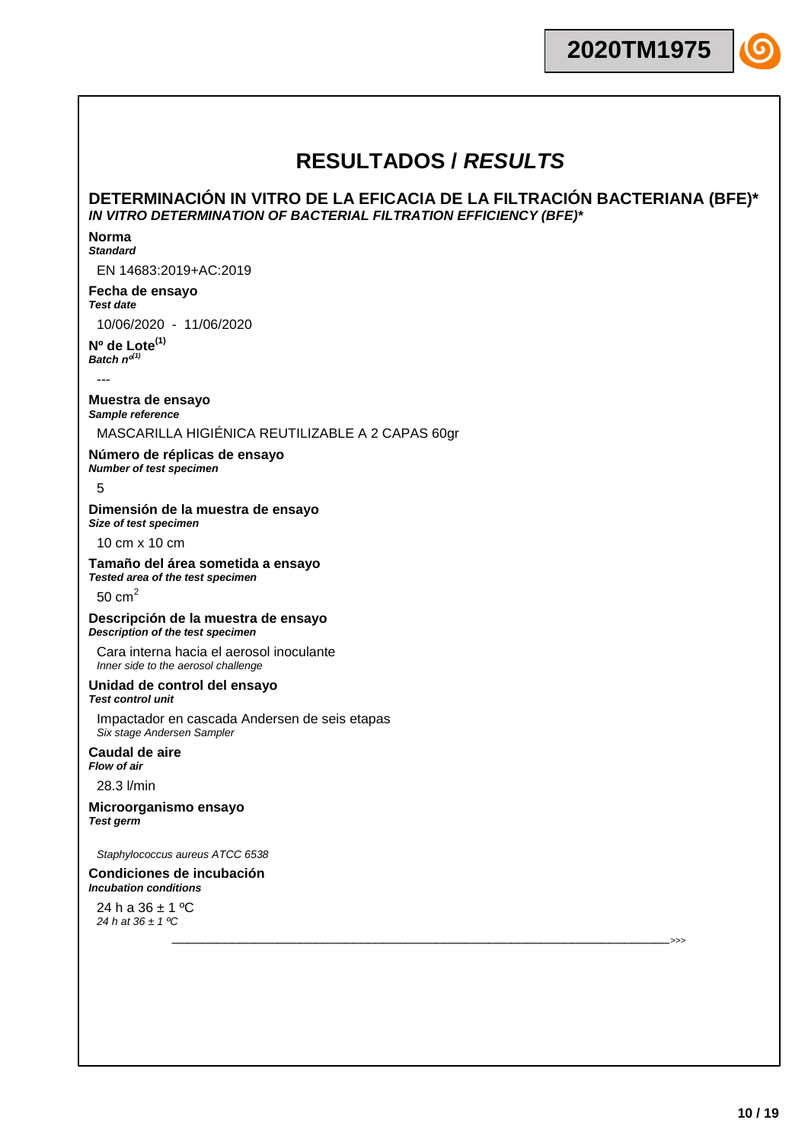## **DETERMINACIÓN IN VITRO DE LA EFICACIA DE LA FILTRACIÓN BACTERIANA (BFE)\*** *IN VITRO DETERMINATION OF BACTERIAL FILTRATION EFFICIENCY (BFE)\**

\_\_\_\_\_\_\_\_\_\_\_\_\_\_\_\_\_\_\_\_\_\_\_\_\_\_\_\_\_\_\_\_\_\_\_\_\_\_\_\_\_\_\_\_\_\_\_\_\_\_\_\_\_\_\_\_\_\_\_\_\_\_\_\_\_\_>>>

#### **Norma** *Standard*

EN 14683:2019+AC:2019

### **Fecha de ensayo** *Test date*

10/06/2020 - 11/06/2020

### **Nº de Lote(1)** *Batch nº(1)*

---

### **Muestra de ensayo** *Sample reference*

# MASCARILLA HIGIÉNICA REUTILIZABLE A 2 CAPAS 60gr

# **Número de réplicas de ensayo**

*Number of test specimen*

### 5

#### **Dimensión de la muestra de ensayo** *Size of test specimen*

10 cm x 10 cm

### **Tamaño del área sometida a ensayo** *Tested area of the test specimen*

50  $cm<sup>2</sup>$ 

### **Descripción de la muestra de ensayo** *Description of the test specimen*

Cara interna hacia el aerosol inoculante *Inner side to the aerosol challenge*

### **Unidad de control del ensayo** *Test control unit*

Impactador en cascada Andersen de seis etapas *Six stage Andersen Sampler*

### **Caudal de aire** *Flow of air*

28.3 l/min

### **Microorganismo ensayo** *Test germ*

*Staphylococcus aureus ATCC 6538*

### **Condiciones de incubación** *Incubation conditions*

24 h a  $36 \pm 1$  °C *24 h at 36 ± 1 ºC*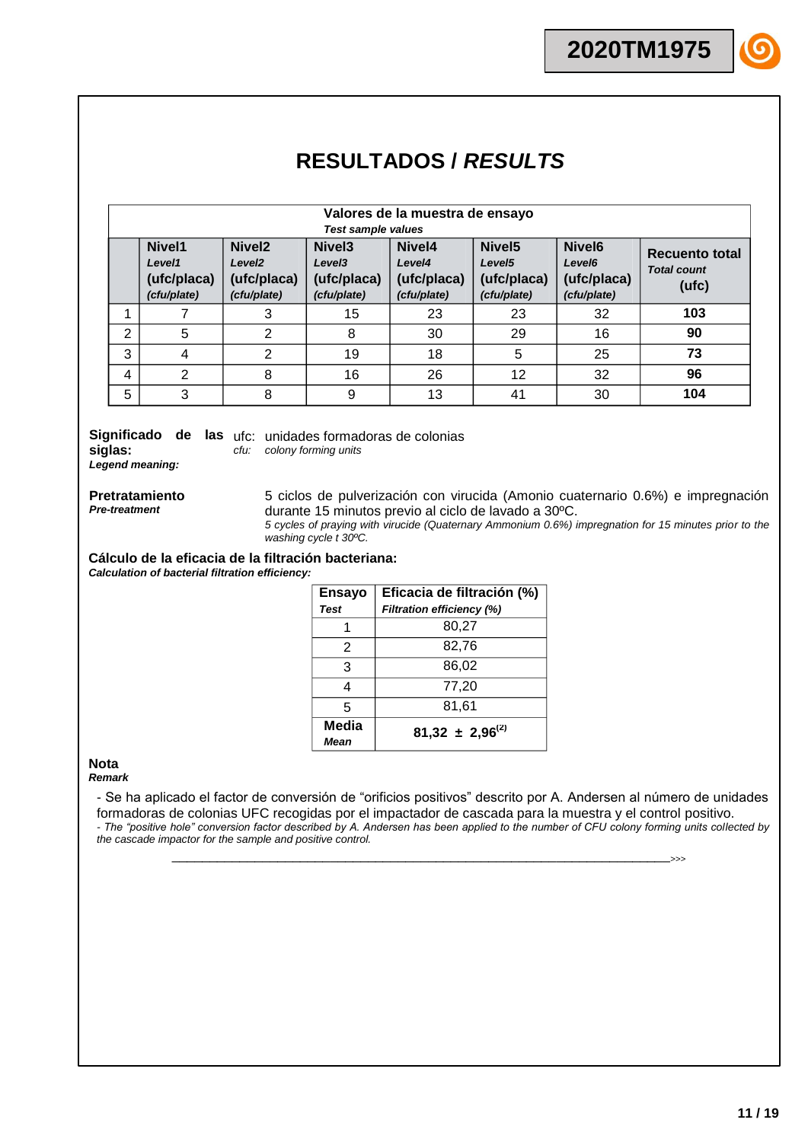|                | Valores de la muestra de ensayo                |                                                                        |                                                                        |                                                |                                                                        |                                                                        |                                               |
|----------------|------------------------------------------------|------------------------------------------------------------------------|------------------------------------------------------------------------|------------------------------------------------|------------------------------------------------------------------------|------------------------------------------------------------------------|-----------------------------------------------|
|                |                                                |                                                                        | <b>Test sample values</b>                                              |                                                |                                                                        |                                                                        |                                               |
|                | Nivel1<br>Level1<br>(ufc/placa)<br>(cfu/plate) | Nivel <sub>2</sub><br>Level <sub>2</sub><br>(ufc/placa)<br>(cfu/plate) | Nivel <sub>3</sub><br>Level <sub>3</sub><br>(ufc/placa)<br>(cfu/plate) | Nivel4<br>Level4<br>(ufc/placa)<br>(cfu/plate) | Nivel <sub>5</sub><br>Level <sub>5</sub><br>(ufc/placa)<br>(cfu/plate) | Nivel <sub>6</sub><br>Level <sub>6</sub><br>(ufc/placa)<br>(cfu/plate) | Recuento total<br><b>Total count</b><br>(ufc) |
|                |                                                | 3                                                                      | 15                                                                     | 23                                             | 23                                                                     | 32                                                                     | 103                                           |
| $\overline{2}$ | 5                                              | 2                                                                      | 8                                                                      | 30                                             | 29                                                                     | 16                                                                     | 90                                            |
| 3              | 4                                              | 2                                                                      | 19                                                                     | 18                                             | 5                                                                      | 25                                                                     | 73                                            |
| 4              | 2                                              | 8                                                                      | 16                                                                     | 26                                             | 12                                                                     | 32                                                                     | 96                                            |
| 5              | 3                                              | 8                                                                      | 9                                                                      | 13                                             | 41                                                                     | 30                                                                     | 104                                           |

Significado de las ufc: unidades formadoras de colonias **siglas:** *Legend meaning:*

*cfu: colony forming units*

**Pretratamiento** *Pre-treatment*

5 ciclos de pulverización con virucida (Amonio cuaternario 0.6%) e impregnación durante 15 minutos previo al ciclo de lavado a 30ºC. *5 cycles of praying with virucide (Quaternary Ammonium 0.6%) impregnation for 15 minutes prior to the washing cycle t 30ºC.*

**Cálculo de la eficacia de la filtración bacteriana:** *Calculation of bacterial filtration efficiency:*

| <b>Ensayo</b>        | Eficacia de filtración (%)       |  |  |  |  |
|----------------------|----------------------------------|--|--|--|--|
| <b>Test</b>          | <b>Filtration efficiency (%)</b> |  |  |  |  |
|                      | 80,27                            |  |  |  |  |
| $\mathcal{P}$        | 82,76                            |  |  |  |  |
| 3                    | 86,02                            |  |  |  |  |
| 4                    | 77,20                            |  |  |  |  |
| 5                    | 81,61                            |  |  |  |  |
| Media<br><b>Mean</b> | $81,32 \pm 2,96^{(2)}$           |  |  |  |  |

### **Nota**

*Remark*

- Se ha aplicado el factor de conversión de "orificios positivos" descrito por A. Andersen al número de unidades formadoras de colonias UFC recogidas por el impactador de cascada para la muestra y el control positivo. *- The "positive hole" conversion factor described by A. Andersen has been applied to the number of CFU colony forming units collected by the cascade impactor for the sample and positive control.*

\_\_\_\_\_\_\_\_\_\_\_\_\_\_\_\_\_\_\_\_\_\_\_\_\_\_\_\_\_\_\_\_\_\_\_\_\_\_\_\_\_\_\_\_\_\_\_\_\_\_\_\_\_\_\_\_\_\_\_\_\_\_\_\_\_\_>>>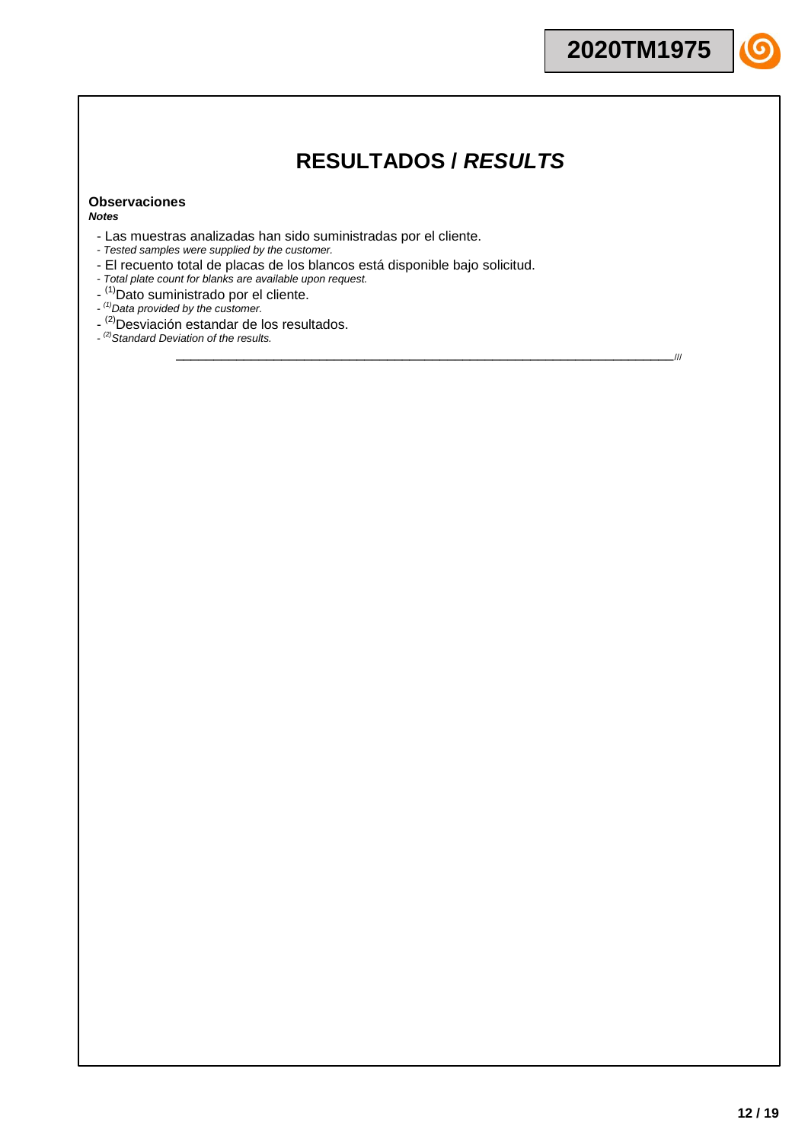\_\_\_\_\_\_\_\_\_\_\_\_\_\_\_\_\_\_\_\_\_\_\_\_\_\_\_\_\_\_\_\_\_\_\_\_\_\_\_\_\_\_\_\_\_\_\_\_\_\_\_\_\_\_\_\_\_\_\_\_\_\_\_\_\_\_///

### **Observaciones** *Notes*

- Las muestras analizadas han sido suministradas por el cliente.
- *- Tested samples were supplied by the customer.*
- El recuento total de placas de los blancos está disponible bajo solicitud.
- *- Total plate count for blanks are available upon request.*
- <sup>(1)</sup>Dato suministrado por el cliente.
- *- (1)Data provided by the customer.*
- <sup>(2)</sup>Desviación estandar de los resultados.
- *- (2)Standard Deviation of the results.*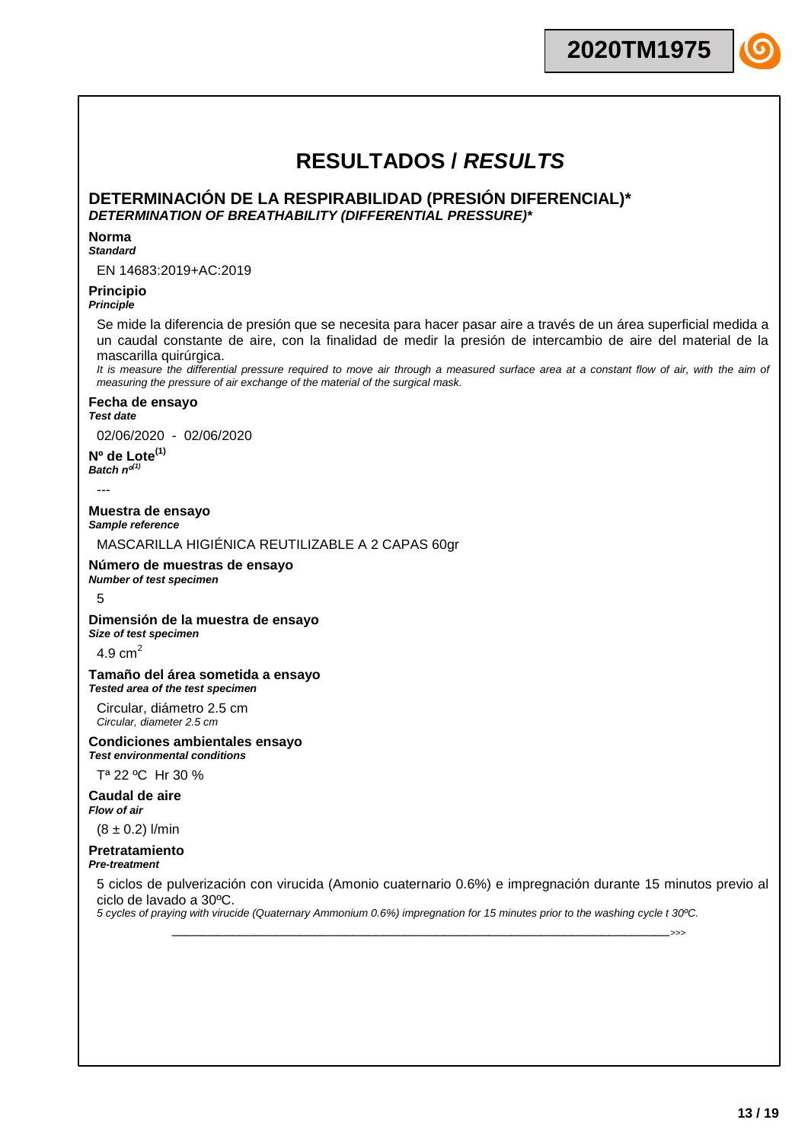**2020TM1975**

## **DETERMINACIÓN DE LA RESPIRABILIDAD (PRESIÓN DIFERENCIAL)\*** *DETERMINATION OF BREATHABILITY (DIFFERENTIAL PRESSURE)\**

### **Norma**

### *Standard*

EN 14683:2019+AC:2019

## **Principio**

### *Principle*

Se mide la diferencia de presión que se necesita para hacer pasar aire a través de un área superficial medida a un caudal constante de aire, con la finalidad de medir la presión de intercambio de aire del material de la mascarilla quirúrgica.

It is measure the differential pressure required to move air through a measured surface area at a constant flow of air, with the aim of *measuring the pressure of air exchange of the material of the surgical mask.*

### **Fecha de ensayo**

*Test date*

02/06/2020 - 02/06/2020

**Nº de Lote(1)**  $Batch$   $n^{d^{(1)}}$ 

---

**Muestra de ensayo** *Sample reference*

MASCARILLA HIGIÉNICA REUTILIZABLE A 2 CAPAS 60gr

### **Número de muestras de ensayo** *Number of test specimen*

### 5

**Dimensión de la muestra de ensayo** *Size of test specimen*

4.9  $cm<sup>2</sup>$ 

### **Tamaño del área sometida a ensayo** *Tested area of the test specimen*

Circular, diámetro 2.5 cm *Circular, diameter 2.5 cm*

### **Condiciones ambientales ensayo** *Test environmental conditions*

Tª 22 ºC Hr 30 %

**Caudal de aire** *Flow of air*

 $(8 \pm 0.2)$  l/min

### **Pretratamiento** *Pre-treatment*

5 ciclos de pulverización con virucida (Amonio cuaternario 0.6%) e impregnación durante 15 minutos previo al ciclo de lavado a 30ºC.

\_\_\_\_\_\_\_\_\_\_\_\_\_\_\_\_\_\_\_\_\_\_\_\_\_\_\_\_\_\_\_\_\_\_\_\_\_\_\_\_\_\_\_\_\_\_\_\_\_\_\_\_\_\_\_\_\_\_\_\_\_\_\_\_\_\_>>>

*5 cycles of praying with virucide (Quaternary Ammonium 0.6%) impregnation for 15 minutes prior to the washing cycle t 30ºC.*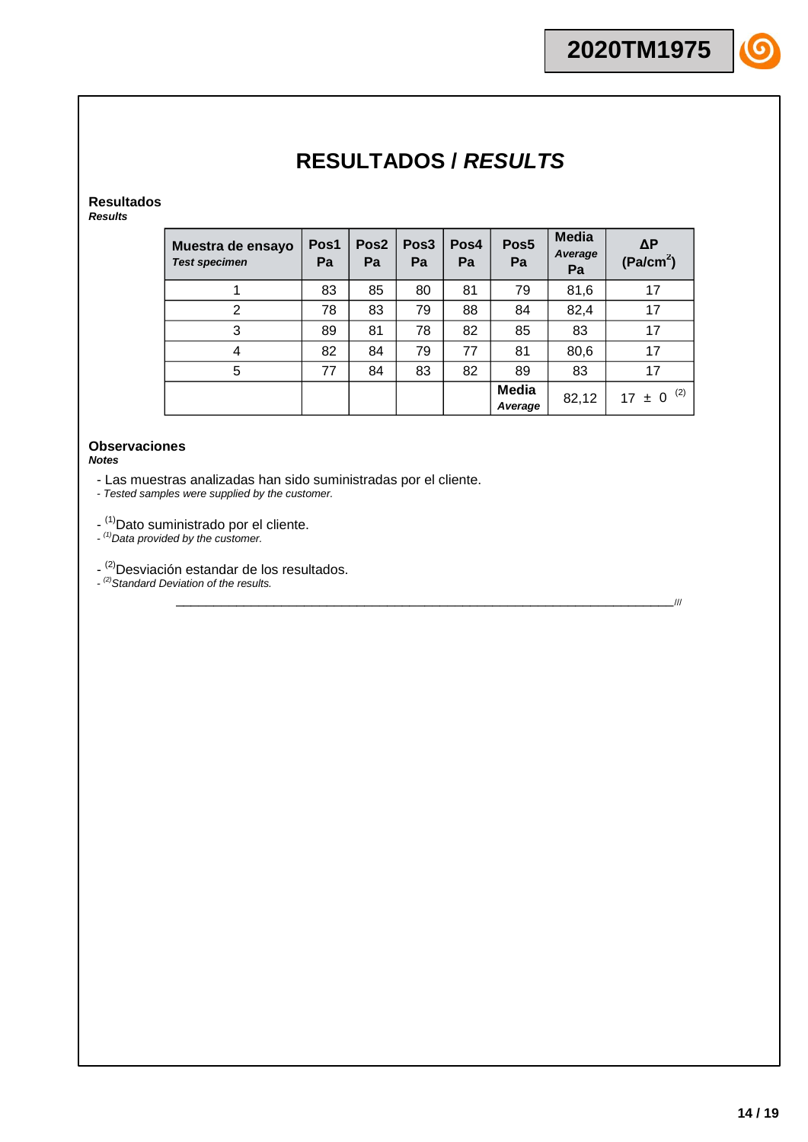# **Resultados**

*Results*

| Muestra de ensayo<br><b>Test specimen</b> | Pos1<br>Pa | Pos <sub>2</sub><br>Pa | Pos <sub>3</sub><br>Pa | Pos4<br>Pa | Pos <sub>5</sub><br>Pa | <b>Media</b><br>Average<br>Pa | $\Delta P$<br>(Pa/cm <sup>2</sup> ) |
|-------------------------------------------|------------|------------------------|------------------------|------------|------------------------|-------------------------------|-------------------------------------|
|                                           | 83         | 85                     | 80                     | 81         | 79                     | 81,6                          | 17                                  |
| $\overline{2}$                            | 78         | 83                     | 79                     | 88         | 84                     | 82,4                          | 17                                  |
| 3                                         | 89         | 81                     | 78                     | 82         | 85                     | 83                            | 17                                  |
| 4                                         | 82         | 84                     | 79                     | 77         | 81                     | 80,6                          | 17                                  |
| 5                                         | 77         | 84                     | 83                     | 82         | 89                     | 83                            | 17                                  |
|                                           |            |                        |                        |            | Media<br>Average       | 82,12                         | (2)<br>$17 \pm 0$                   |

\_\_\_\_\_\_\_\_\_\_\_\_\_\_\_\_\_\_\_\_\_\_\_\_\_\_\_\_\_\_\_\_\_\_\_\_\_\_\_\_\_\_\_\_\_\_\_\_\_\_\_\_\_\_\_\_\_\_\_\_\_\_\_\_\_\_///

### **Observaciones** *Notes*

- Las muestras analizadas han sido suministradas por el cliente.

*- Tested samples were supplied by the customer.*

- <sup>(1)</sup>Dato suministrado por el cliente.

*- (1)Data provided by the customer.*

- <sup>(2)</sup>Desviación estandar de los resultados.

*- (2)Standard Deviation of the results.*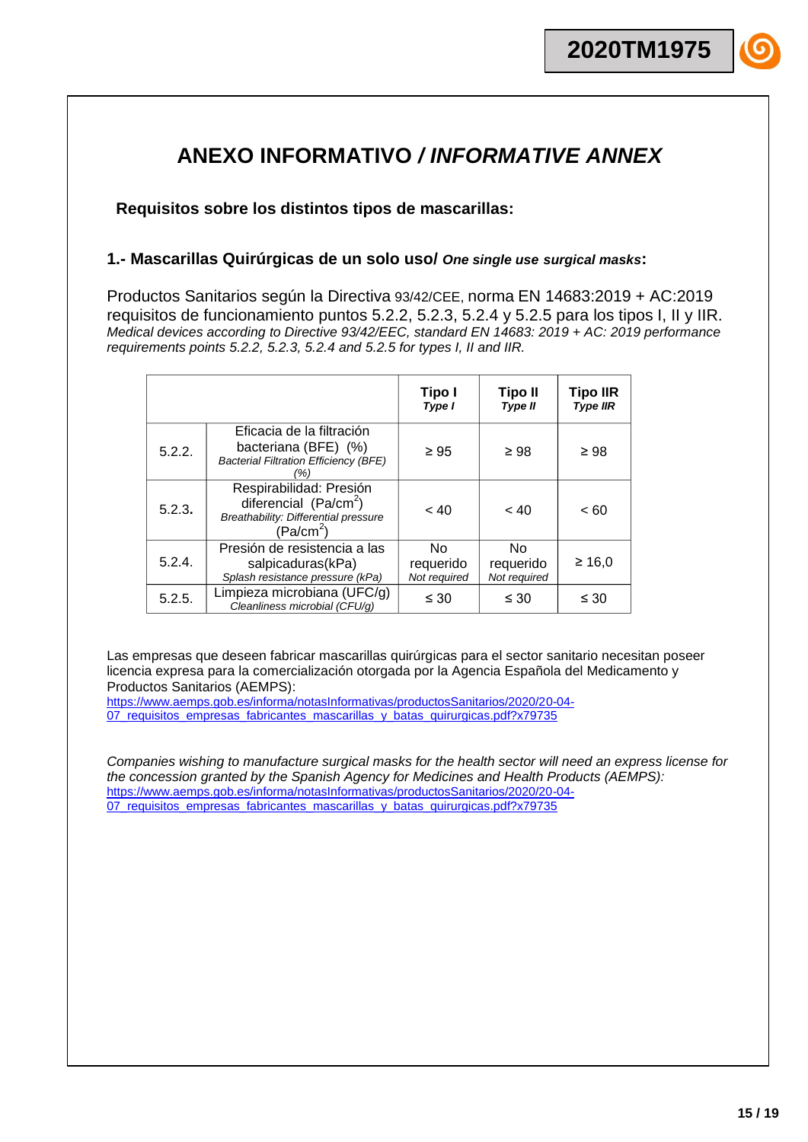# **ANEXO INFORMATIVO** */ INFORMATIVE ANNEX*

**Requisitos sobre los distintos tipos de mascarillas:**

## **1.- Mascarillas Quirúrgicas de un solo uso/** *One single use surgical masks***:**

Productos Sanitarios según la Directiva 93/42/CEE, norma EN 14683:2019 + AC:2019 requisitos de funcionamiento puntos 5.2.2, 5.2.3, 5.2.4 y 5.2.5 para los tipos I, II y IIR. *Medical devices according to Directive 93/42/EEC, standard EN 14683: 2019 + AC: 2019 performance requirements points 5.2.2, 5.2.3, 5.2.4 and 5.2.5 for types I, II and IIR.*

|        |                                                                                                                           | Tipo I<br>Type I                 | <b>Tipo II</b><br>Type II        | <b>Tipo IIR</b><br><b>Type IIR</b> |
|--------|---------------------------------------------------------------------------------------------------------------------------|----------------------------------|----------------------------------|------------------------------------|
| 5.2.2. | Eficacia de la filtración<br>bacteriana (BFE) (%)<br><b>Bacterial Filtration Efficiency (BFE)</b><br>(%)                  | $\geq 95$                        | $\geq 98$                        | $\geq 98$                          |
| 5.2.3. | Respirabilidad: Presión<br>diferencial $(Pa/cm2)$<br><b>Breathability: Differential pressure</b><br>(Pa/cm <sup>2</sup> ) | ~< 40                            | < 40                             | ~< 60                              |
| 5.2.4. | Presión de resistencia a las<br>salpicaduras(kPa)<br>Splash resistance pressure (kPa)                                     | No.<br>requerido<br>Not required | No.<br>requerido<br>Not required | $\geq 16.0$                        |
| 5.2.5. | Limpieza microbiana (UFC/g)<br>Cleanliness microbial (CFU/g)                                                              | $\leq 30$                        | $\leq 30$                        | $\leq 30$                          |

Las empresas que deseen fabricar mascarillas quirúrgicas para el sector sanitario necesitan poseer licencia expresa para la comercialización otorgada por la Agencia Española del Medicamento y Productos Sanitarios (AEMPS):

[https://www.aemps.gob.es/informa/notasInformativas/productosSanitarios/2020/20-04-](https://www.aemps.gob.es/informa/notasInformativas/productosSanitarios/2020/20-04-07_requisitos_empresas_fabricantes_mascarillas_y_batas_quirurgicas.pdf?x79735) 07 requisitos empresas fabricantes mascarillas y batas quirurgicas.pdf?x79735

*Companies wishing to manufacture surgical masks for the health sector will need an express license for the concession granted by the Spanish Agency for Medicines and Health Products (AEMPS):* [https://www.aemps.gob.es/informa/notasInformativas/productosSanitarios/2020/20-04-](https://www.aemps.gob.es/informa/notasInformativas/productosSanitarios/2020/20-04-07_requisitos_empresas_fabricantes_mascarillas_y_batas_quirurgicas.pdf?x79735) 07 requisitos empresas fabricantes mascarillas y batas quirurgicas.pdf?x79735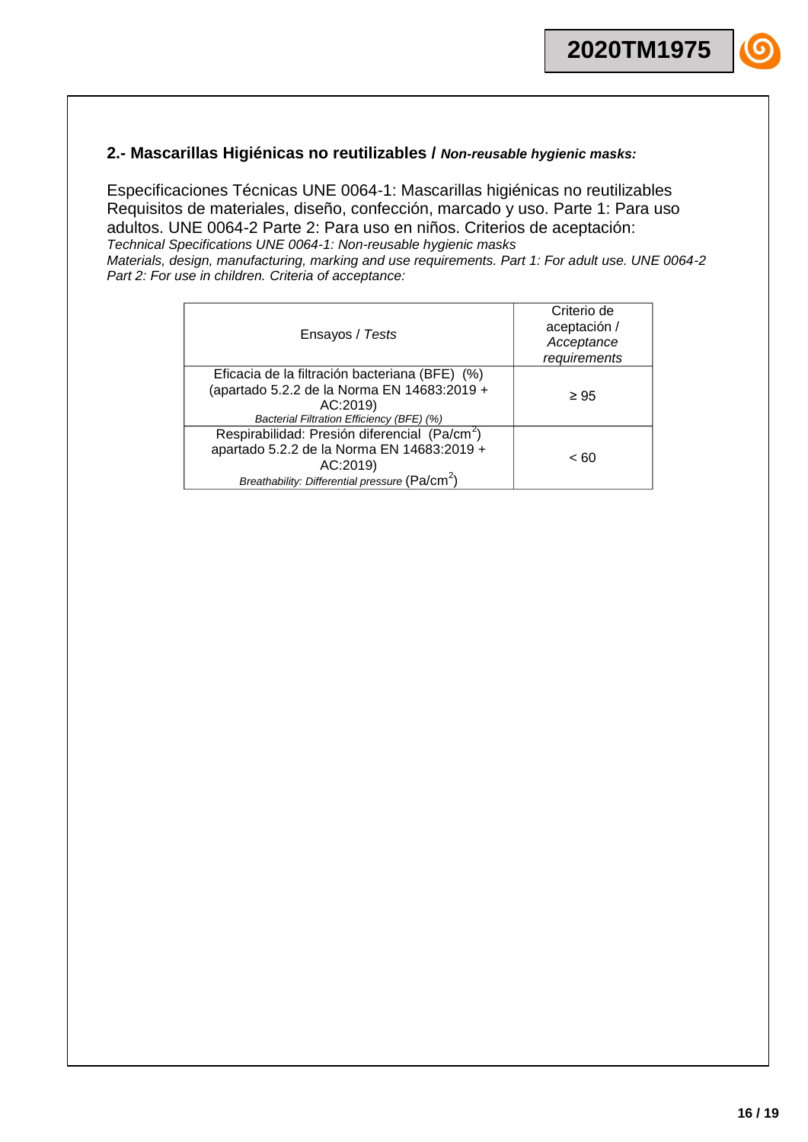## **2.- Mascarillas Higiénicas no reutilizables /** *Non-reusable hygienic masks:*

Especificaciones Técnicas UNE 0064-1: Mascarillas higiénicas no reutilizables Requisitos de materiales, diseño, confección, marcado y uso. Parte 1: Para uso adultos. UNE 0064-2 Parte 2: Para uso en niños. Criterios de aceptación: *Technical Specifications UNE 0064-1: Non-reusable hygienic masks Materials, design, manufacturing, marking and use requirements. Part 1: For adult use. UNE 0064-2 Part 2: For use in children. Criteria of acceptance:*

| Ensayos / Tests                                                                                                                                                                   | Criterio de<br>aceptación /<br>Acceptance<br>requirements |
|-----------------------------------------------------------------------------------------------------------------------------------------------------------------------------------|-----------------------------------------------------------|
| Eficacia de la filtración bacteriana (BFE) (%)<br>(apartado 5.2.2 de la Norma EN 14683:2019 +<br>AC:2019)<br>Bacterial Filtration Efficiency (BFE) (%)                            | $\geq 95$                                                 |
| Respirabilidad: Presión diferencial (Pa/cm <sup>2</sup> )<br>apartado 5.2.2 de la Norma EN 14683:2019 +<br>AC:2019)<br>Breathability: Differential pressure (Pa/cm <sup>2</sup> ) | < 60                                                      |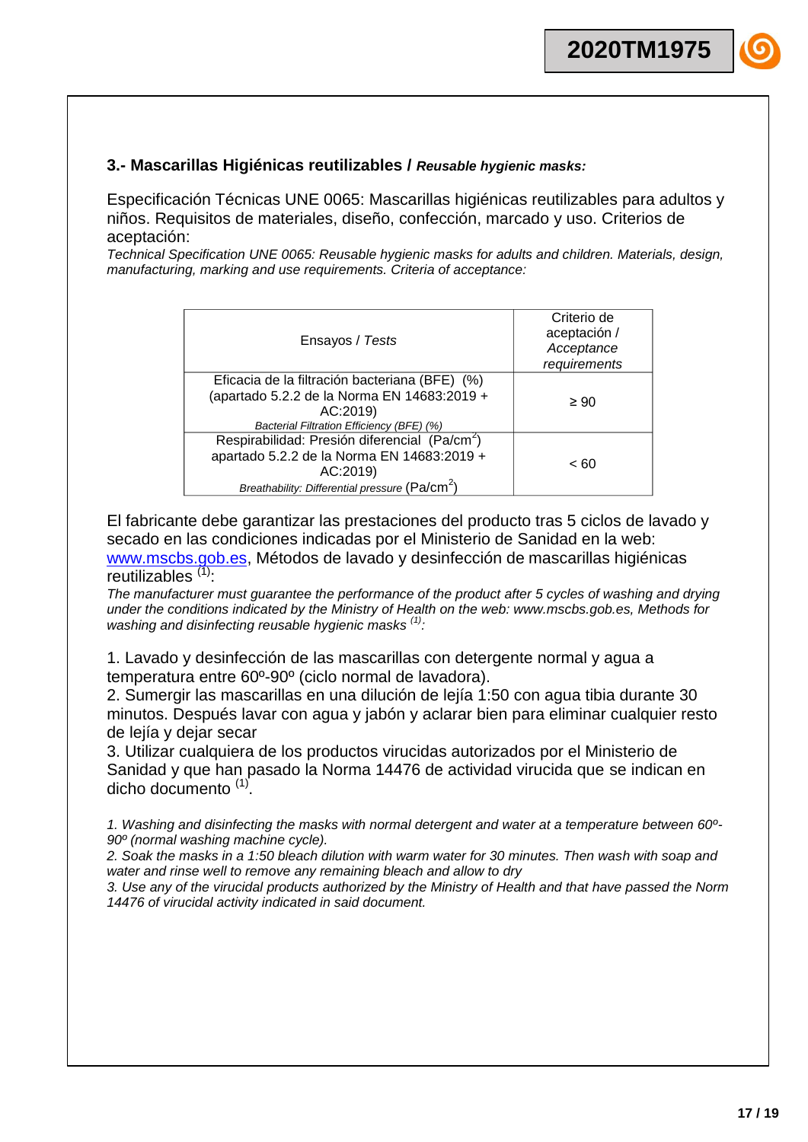## **3.- Mascarillas Higiénicas reutilizables /** *Reusable hygienic masks:*

Especificación Técnicas UNE 0065: Mascarillas higiénicas reutilizables para adultos y niños. Requisitos de materiales, diseño, confección, marcado y uso. Criterios de aceptación:

*Technical Specification UNE 0065: Reusable hygienic masks for adults and children. Materials, design, manufacturing, marking and use requirements. Criteria of acceptance:*

| Ensayos / Tests                                                                                                                                                                   | Criterio de<br>aceptación /<br>Acceptance<br>requirements |
|-----------------------------------------------------------------------------------------------------------------------------------------------------------------------------------|-----------------------------------------------------------|
| Eficacia de la filtración bacteriana (BFE) (%)<br>(apartado 5.2.2 de la Norma EN 14683:2019 +<br>AC:2019)<br>Bacterial Filtration Efficiency (BFE) (%)                            | $\geq 90$                                                 |
| Respirabilidad: Presión diferencial (Pa/cm <sup>2</sup> )<br>apartado 5.2.2 de la Norma EN 14683:2019 +<br>AC:2019)<br>Breathability: Differential pressure (Pa/cm <sup>2</sup> ) | < 60                                                      |

El fabricante debe garantizar las prestaciones del producto tras 5 ciclos de lavado y secado en las condiciones indicadas por el Ministerio de Sanidad en la web: [www.mscbs.gob.es,](http://www.mscbs.gob.es/) Métodos de lavado y desinfección de mascarillas higiénicas reutilizables  $(1)$ :

*The manufacturer must guarantee the performance of the product after 5 cycles of washing and drying under the conditions indicated by the Ministry of Health on the web: www.mscbs.gob.es, Methods for washing and disinfecting reusable hygienic masks (1):*

1. Lavado y desinfección de las mascarillas con detergente normal y agua a temperatura entre 60º-90º (ciclo normal de lavadora).

2. Sumergir las mascarillas en una dilución de lejía 1:50 con agua tibia durante 30 minutos. Después lavar con agua y jabón y aclarar bien para eliminar cualquier resto de lejía y dejar secar

3. Utilizar cualquiera de los productos virucidas autorizados por el Ministerio de Sanidad y que han pasado la Norma 14476 de actividad virucida que se indican en dicho documento<sup>(1)</sup>.

*1. Washing and disinfecting the masks with normal detergent and water at a temperature between 60º-90º (normal washing machine cycle).*

*2. Soak the masks in a 1:50 bleach dilution with warm water for 30 minutes. Then wash with soap and water and rinse well to remove any remaining bleach and allow to dry*

*3. Use any of the virucidal products authorized by the Ministry of Health and that have passed the Norm 14476 of virucidal activity indicated in said document.*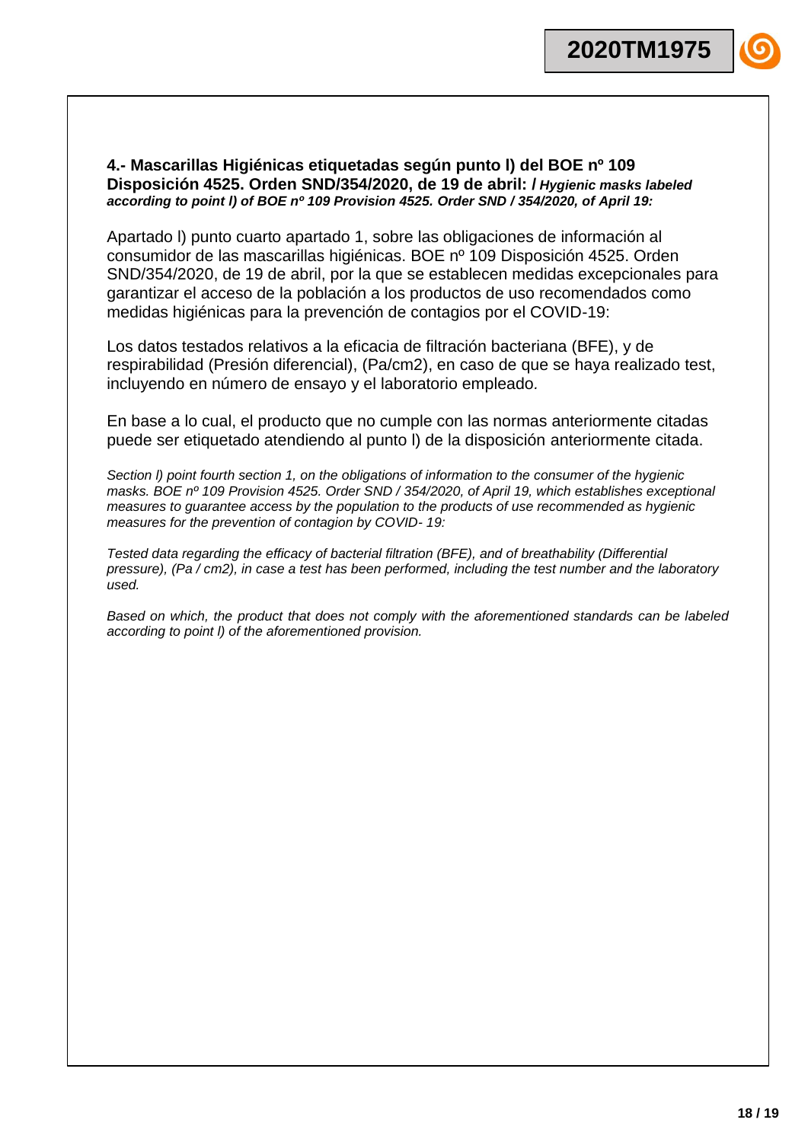## **4.- Mascarillas Higiénicas etiquetadas según punto l) del BOE nº 109 Disposición 4525. Orden SND/354/2020, de 19 de abril: /** *Hygienic masks labeled according to point l) of BOE nº 109 Provision 4525. Order SND / 354/2020, of April 19:*

Apartado l) punto cuarto apartado 1, sobre las obligaciones de información al consumidor de las mascarillas higiénicas. BOE nº 109 Disposición 4525. Orden SND/354/2020, de 19 de abril, por la que se establecen medidas excepcionales para garantizar el acceso de la población a los productos de uso recomendados como medidas higiénicas para la prevención de contagios por el COVID-19:

Los datos testados relativos a la eficacia de filtración bacteriana (BFE), y de respirabilidad (Presión diferencial), (Pa/cm2), en caso de que se haya realizado test, incluyendo en número de ensayo y el laboratorio empleado*.*

En base a lo cual, el producto que no cumple con las normas anteriormente citadas puede ser etiquetado atendiendo al punto l) de la disposición anteriormente citada.

*Section l) point fourth section 1, on the obligations of information to the consumer of the hygienic masks. BOE nº 109 Provision 4525. Order SND / 354/2020, of April 19, which establishes exceptional measures to guarantee access by the population to the products of use recommended as hygienic measures for the prevention of contagion by COVID- 19:*

*Tested data regarding the efficacy of bacterial filtration (BFE), and of breathability (Differential pressure), (Pa / cm2), in case a test has been performed, including the test number and the laboratory used.*

*Based on which, the product that does not comply with the aforementioned standards can be labeled according to point l) of the aforementioned provision.*